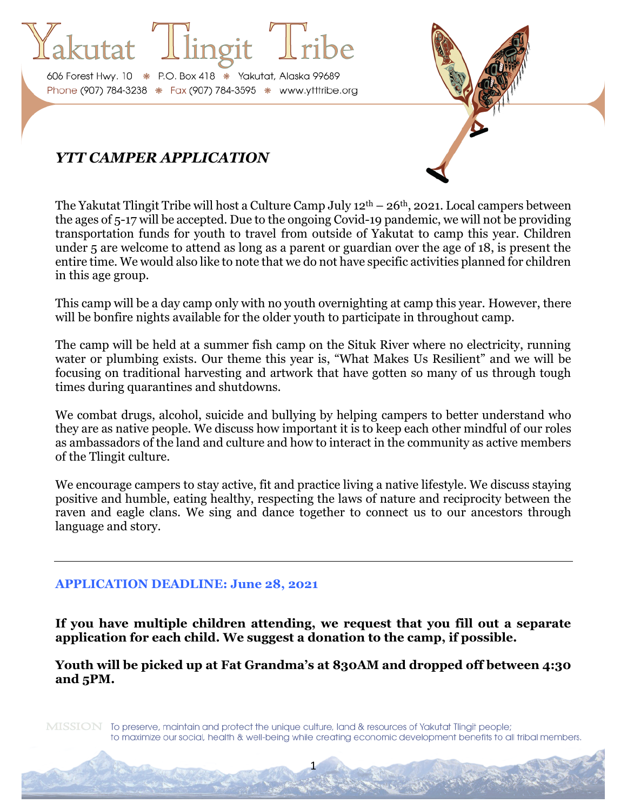606 Forest Hwy. 10 \* P.O. Box 418 \* Yakutat, Alaska 99689 Phone (907) 784-3238 \* Fax (907) 784-3595 \* www.ytttribe.org

# *YTT CAMPER APPLICATION*

The Yakutat Tlingit Tribe will host a Culture Camp July  $12<sup>th</sup> - 26<sup>th</sup>$ , 2021. Local campers between the ages of 5-17 will be accepted. Due to the ongoing Covid-19 pandemic, we will not be providing transportation funds for youth to travel from outside of Yakutat to camp this year. Children under 5 are welcome to attend as long as a parent or guardian over the age of 18, is present the entire time. We would also like to note that we do not have specific activities planned for children in this age group.

This camp will be a day camp only with no youth overnighting at camp this year. However, there will be bonfire nights available for the older youth to participate in throughout camp.

The camp will be held at a summer fish camp on the Situk River where no electricity, running water or plumbing exists. Our theme this year is, "What Makes Us Resilient" and we will be focusing on traditional harvesting and artwork that have gotten so many of us through tough times during quarantines and shutdowns.

We combat drugs, alcohol, suicide and bullying by helping campers to better understand who they are as native people. We discuss how important it is to keep each other mindful of our roles as ambassadors of the land and culture and how to interact in the community as active members of the Tlingit culture.

We encourage campers to stay active, fit and practice living a native lifestyle. We discuss staying positive and humble, eating healthy, respecting the laws of nature and reciprocity between the raven and eagle clans. We sing and dance together to connect us to our ancestors through language and story.

# **APPLICATION DEADLINE: June 28, 2021**

**If you have multiple children attending, we request that you fill out a separate application for each child. We suggest a donation to the camp, if possible.**

**Youth will be picked up at Fat Grandma's at 830AM and dropped off between 4:30 and 5PM.**

MISSION To preserve, maintain and protect the unique culture, land & resources of Yakutat Tlingit people; to maximize our social, health & well-being while creating economic development benefits to all tribal members.

1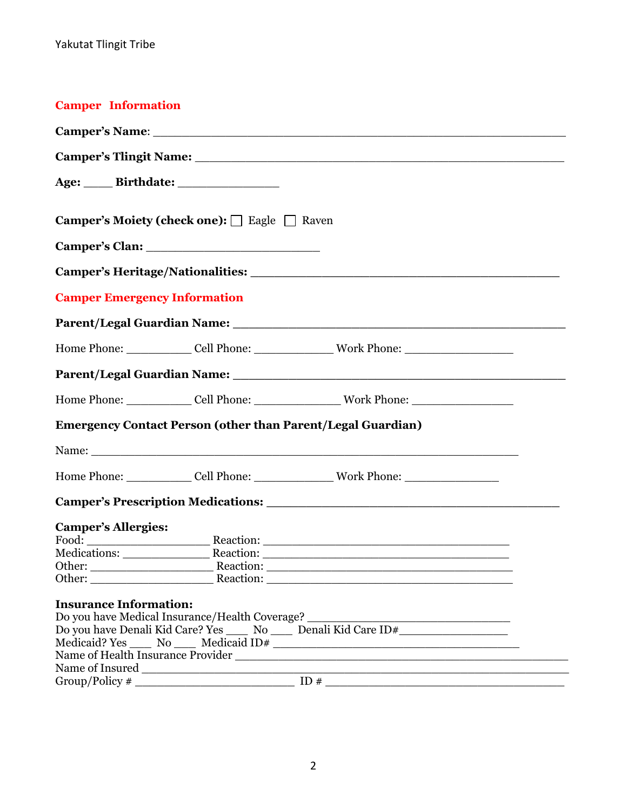| <b>Camper Information</b>                                                                                                                                                                                                      |                                                        |                                                                                                      |  |  |  |  |
|--------------------------------------------------------------------------------------------------------------------------------------------------------------------------------------------------------------------------------|--------------------------------------------------------|------------------------------------------------------------------------------------------------------|--|--|--|--|
|                                                                                                                                                                                                                                |                                                        |                                                                                                      |  |  |  |  |
|                                                                                                                                                                                                                                |                                                        |                                                                                                      |  |  |  |  |
|                                                                                                                                                                                                                                |                                                        |                                                                                                      |  |  |  |  |
| <b>Camper's Moiety (check one):</b> $\Box$ Eagle $\Box$ Raven                                                                                                                                                                  |                                                        |                                                                                                      |  |  |  |  |
|                                                                                                                                                                                                                                |                                                        |                                                                                                      |  |  |  |  |
|                                                                                                                                                                                                                                |                                                        |                                                                                                      |  |  |  |  |
| <b>Camper Emergency Information</b>                                                                                                                                                                                            |                                                        |                                                                                                      |  |  |  |  |
|                                                                                                                                                                                                                                |                                                        |                                                                                                      |  |  |  |  |
|                                                                                                                                                                                                                                |                                                        |                                                                                                      |  |  |  |  |
|                                                                                                                                                                                                                                |                                                        |                                                                                                      |  |  |  |  |
|                                                                                                                                                                                                                                |                                                        |                                                                                                      |  |  |  |  |
|                                                                                                                                                                                                                                |                                                        | <b>Emergency Contact Person (other than Parent/Legal Guardian)</b>                                   |  |  |  |  |
|                                                                                                                                                                                                                                |                                                        |                                                                                                      |  |  |  |  |
|                                                                                                                                                                                                                                |                                                        | Home Phone: ______________Cell Phone: _____________________Work Phone: _____________________________ |  |  |  |  |
| Camper's Prescription Medications: 2008 2010 2020 2021 2021 2022 2023 2024 2022 2023 2024 2022 2023 2024 2022 2023 2024 2022 2023 2024 2022 2023 2024 2022 2023 2024 2022 2023 2024 2022 2023 2024 2022 2023 2024 2022 2023 20 |                                                        |                                                                                                      |  |  |  |  |
| <b>Camper's Allergies:</b>                                                                                                                                                                                                     |                                                        |                                                                                                      |  |  |  |  |
|                                                                                                                                                                                                                                |                                                        |                                                                                                      |  |  |  |  |
| Medications:                                                                                                                                                                                                                   |                                                        | Reaction:                                                                                            |  |  |  |  |
|                                                                                                                                                                                                                                |                                                        |                                                                                                      |  |  |  |  |
|                                                                                                                                                                                                                                |                                                        | Other: Reaction:                                                                                     |  |  |  |  |
| <b>Insurance Information:</b>                                                                                                                                                                                                  |                                                        |                                                                                                      |  |  |  |  |
|                                                                                                                                                                                                                                | Do you have Medical Insurance/Health Coverage? _______ |                                                                                                      |  |  |  |  |
| Do you have Denali Kid Care? Yes ______ No ______ Denali Kid Care ID#_______________________________                                                                                                                           |                                                        |                                                                                                      |  |  |  |  |
|                                                                                                                                                                                                                                |                                                        |                                                                                                      |  |  |  |  |
|                                                                                                                                                                                                                                |                                                        |                                                                                                      |  |  |  |  |
|                                                                                                                                                                                                                                |                                                        | Name of Insured                                                                                      |  |  |  |  |
|                                                                                                                                                                                                                                |                                                        |                                                                                                      |  |  |  |  |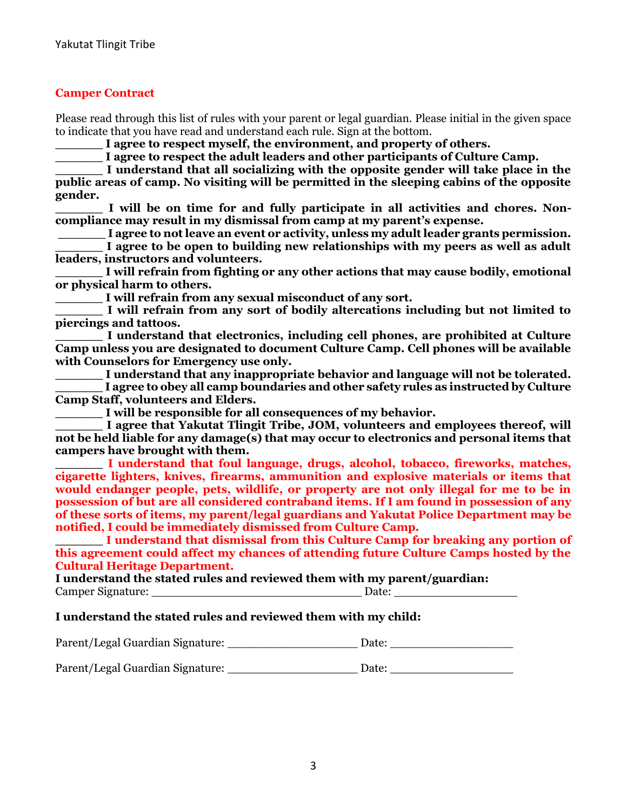### **Camper Contract**

Please read through this list of rules with your parent or legal guardian. Please initial in the given space to indicate that you have read and understand each rule. Sign at the bottom.

**\_\_\_\_\_\_ I agree to respect myself, the environment, and property of others.** 

**\_\_\_\_\_\_ I agree to respect the adult leaders and other participants of Culture Camp.**

**\_\_\_\_\_\_ I understand that all socializing with the opposite gender will take place in the public areas of camp. No visiting will be permitted in the sleeping cabins of the opposite gender.**

**\_\_\_\_\_\_ I will be on time for and fully participate in all activities and chores. Noncompliance may result in my dismissal from camp at my parent's expense.**

**\_\_\_\_\_\_ I agree to not leave an event or activity, unless my adult leader grants permission.**

I agree to be open to building new relationships with my peers as well as adult **leaders, instructors and volunteers.** 

**\_\_\_\_\_\_ I will refrain from fighting or any other actions that may cause bodily, emotional or physical harm to others.** 

**\_\_\_\_\_\_ I will refrain from any sexual misconduct of any sort.** 

**\_\_\_\_\_\_ I will refrain from any sort of bodily altercations including but not limited to piercings and tattoos.**

**\_\_\_\_\_\_ I understand that electronics, including cell phones, are prohibited at Culture Camp unless you are designated to document Culture Camp. Cell phones will be available with Counselors for Emergency use only.**

**\_\_\_\_\_\_ I understand that any inappropriate behavior and language will not be tolerated. \_\_\_\_\_\_ I agree to obey all camp boundaries and other safety rules as instructed by Culture Camp Staff, volunteers and Elders.**

**\_\_\_\_\_\_ I will be responsible for all consequences of my behavior.**

**\_\_\_\_\_\_ I agree that Yakutat Tlingit Tribe, JOM, volunteers and employees thereof, will not be held liable for any damage(s) that may occur to electronics and personal items that campers have brought with them.**

**\_\_\_\_\_\_ I understand that foul language, drugs, alcohol, tobacco, fireworks, matches, cigarette lighters, knives, firearms, ammunition and explosive materials or items that would endanger people, pets, wildlife, or property are not only illegal for me to be in possession of but are all considered contraband items. If I am found in possession of any of these sorts of items, my parent/legal guardians and Yakutat Police Department may be notified, I could be immediately dismissed from Culture Camp.**

**\_\_\_\_\_\_ I understand that dismissal from this Culture Camp for breaking any portion of this agreement could affect my chances of attending future Culture Camps hosted by the Cultural Heritage Department.**

**I understand the stated rules and reviewed them with my parent/guardian:** Camper Signature: <u>Date:</u> **Example Signature**: **Example Signature**: **Example Signature**: **Example Signature**: **Example Signature**: **Example Signature**: **Example Signature**: **Example Signature**: **Example Signature**: **Exampl** 

#### **I understand the stated rules and reviewed them with my child:**

| Parent/Legal Guardian Signature: | Date: |  |
|----------------------------------|-------|--|
|                                  |       |  |

Parent/Legal Guardian Signature: \_\_\_\_\_\_\_\_\_\_\_\_\_\_\_\_\_\_\_\_\_\_\_\_\_ Date: \_\_\_\_\_\_\_\_\_\_\_\_\_\_\_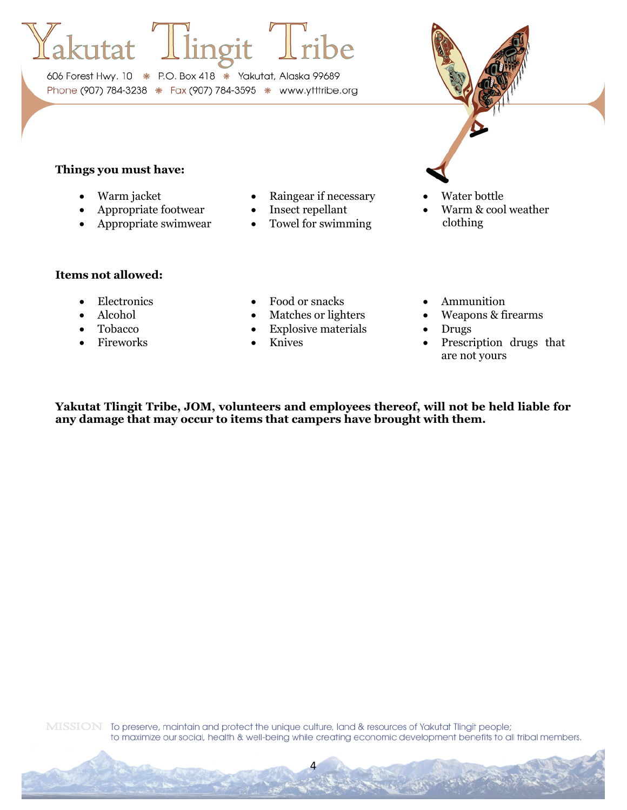606 Forest Hwy. 10 \* P.O. Box 418 \* Yakutat, Alaska 99689 Phone (907) 784-3238 \* Fax (907) 784-3595 \* www.ytttribe.org

# **Things you must have:**

- 
- 
- 
- Warm jacket Raingear if necessary Water bottle
	-
- Appropriate swimwear Towel for swimming clothing
- 
- Appropriate footwear Insect repellant Warm & cool weather

#### **Items not allowed:**

- 
- 
- 
- 
- Electronics Food or snacks Ammunition
	-
- Tobacco Explosive materials Drugs
	-
- 
- Alcohol Matches or lighters Weapons & firearms
	-
- Fireworks Knives Prescription drugs that are not yours

**Yakutat Tlingit Tribe, JOM, volunteers and employees thereof, will not be held liable for any damage that may occur to items that campers have brought with them.**

4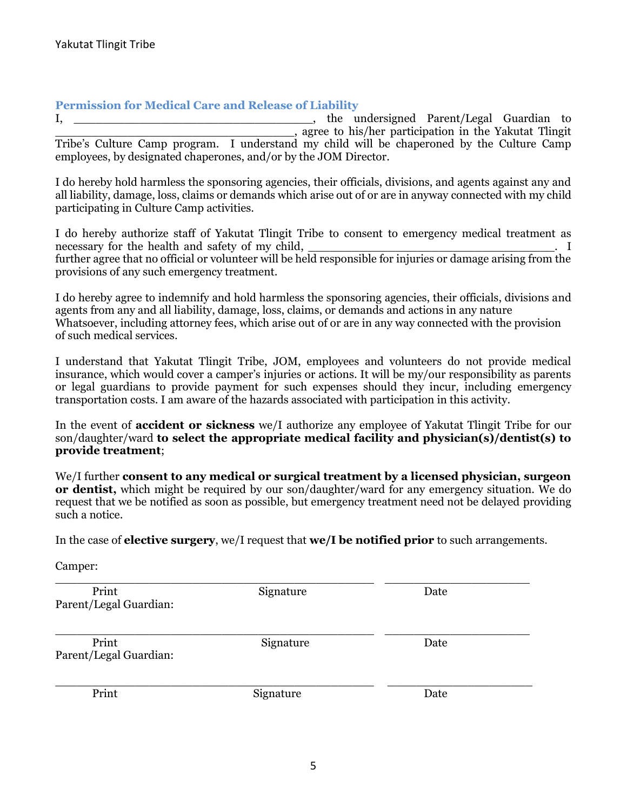#### **Permission for Medical Care and Release of Liability**

I, \_\_\_\_\_\_\_\_\_\_\_\_\_\_\_\_\_\_\_\_\_\_\_\_\_\_\_\_\_\_\_\_\_, the undersigned Parent/Legal Guardian to \_\_\_\_\_\_\_\_\_\_\_\_\_\_\_\_\_\_\_\_\_\_\_\_\_\_\_\_\_\_\_\_\_, agree to his/her participation in the Yakutat Tlingit Tribe's Culture Camp program. I understand my child will be chaperoned by the Culture Camp employees, by designated chaperones, and/or by the JOM Director.

I do hereby hold harmless the sponsoring agencies, their officials, divisions, and agents against any and all liability, damage, loss, claims or demands which arise out of or are in anyway connected with my child participating in Culture Camp activities.

I do hereby authorize staff of Yakutat Tlingit Tribe to consent to emergency medical treatment as necessary for the health and safety of my child,  $\qquad \qquad$   $\qquad \qquad$  I further agree that no official or volunteer will be held responsible for injuries or damage arising from the provisions of any such emergency treatment.

I do hereby agree to indemnify and hold harmless the sponsoring agencies, their officials, divisions and agents from any and all liability, damage, loss, claims, or demands and actions in any nature Whatsoever, including attorney fees, which arise out of or are in any way connected with the provision of such medical services.

I understand that Yakutat Tlingit Tribe, JOM, employees and volunteers do not provide medical insurance, which would cover a camper's injuries or actions. It will be my/our responsibility as parents or legal guardians to provide payment for such expenses should they incur, including emergency transportation costs. I am aware of the hazards associated with participation in this activity.

In the event of **accident or sickness** we/I authorize any employee of Yakutat Tlingit Tribe for our son/daughter/ward **to select the appropriate medical facility and physician(s)/dentist(s) to provide treatment**;

We/I further **consent to any medical or surgical treatment by a licensed physician, surgeon or dentist,** which might be required by our son/daughter/ward for any emergency situation. We do request that we be notified as soon as possible, but emergency treatment need not be delayed providing such a notice.

In the case of **elective surgery**, we/I request that **we/I be notified prior** to such arrangements.

Camper:

| Print<br>Parent/Legal Guardian: | Signature | Date |
|---------------------------------|-----------|------|
| Print<br>Parent/Legal Guardian: | Signature | Date |
| Print                           | Signature | Date |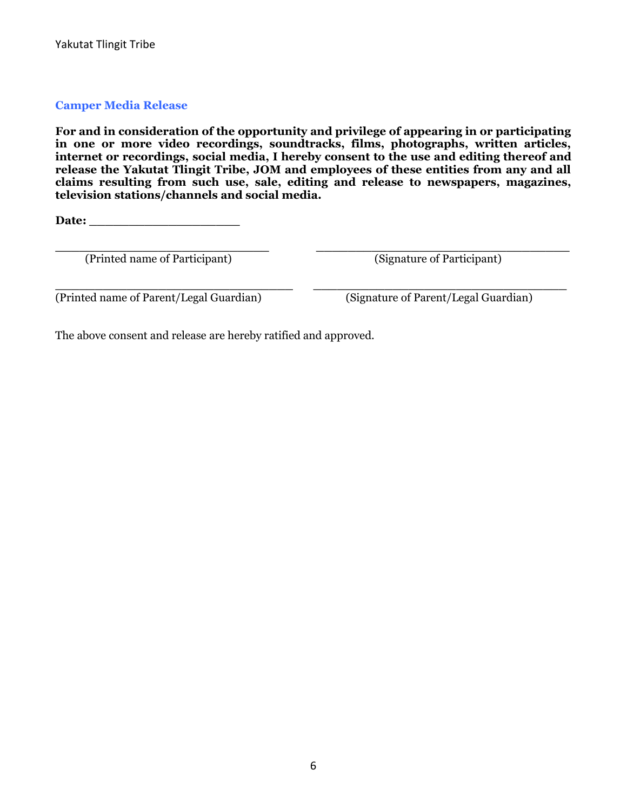### **Camper Media Release**

**For and in consideration of the opportunity and privilege of appearing in or participating in one or more video recordings, soundtracks, films, photographs, written articles, internet or recordings, social media, I hereby consent to the use and editing thereof and release the Yakutat Tlingit Tribe, JOM and employees of these entities from any and all claims resulting from such use, sale, editing and release to newspapers, magazines, television stations/channels and social media.**

**Date: \_\_\_\_\_\_\_\_\_\_\_\_\_\_\_\_\_\_\_**

(Printed name of Participant) (Signature of Participant)

**\_\_\_\_\_\_\_\_\_\_\_\_\_\_\_\_\_\_\_\_\_\_\_\_\_\_\_ \_\_\_\_\_\_\_\_\_\_\_\_\_\_\_\_\_\_\_\_\_\_\_\_\_\_\_\_\_\_\_\_**

**\_\_\_\_\_\_\_\_\_\_\_\_\_\_\_\_\_\_\_\_\_\_\_\_\_\_\_\_\_\_ \_\_\_\_\_\_\_\_\_\_\_\_\_\_\_\_\_\_\_\_\_\_\_\_\_\_\_\_\_\_\_\_**  (Printed name of Parent/Legal Guardian) (Signature of Parent/Legal Guardian)

The above consent and release are hereby ratified and approved.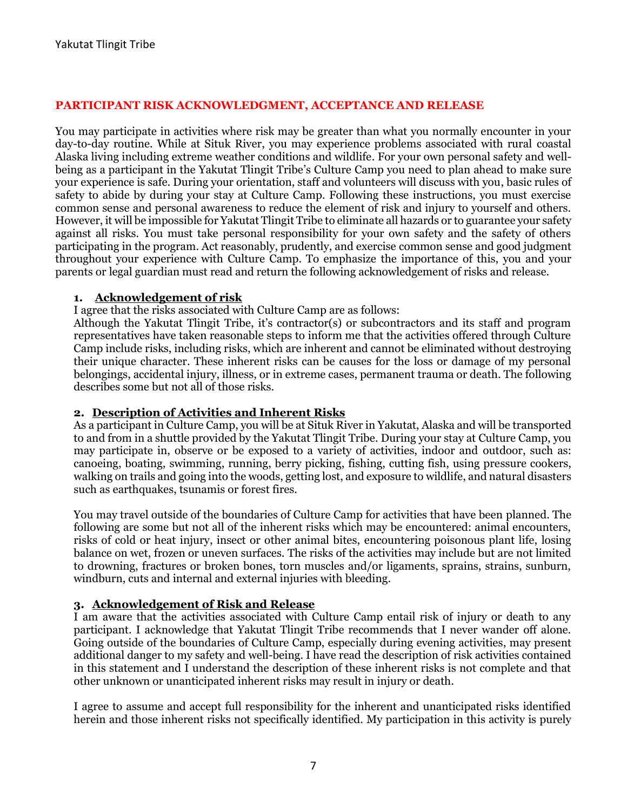## **PARTICIPANT RISK ACKNOWLEDGMENT, ACCEPTANCE AND RELEASE**

You may participate in activities where risk may be greater than what you normally encounter in your day-to-day routine. While at Situk River, you may experience problems associated with rural coastal Alaska living including extreme weather conditions and wildlife. For your own personal safety and wellbeing as a participant in the Yakutat Tlingit Tribe's Culture Camp you need to plan ahead to make sure your experience is safe. During your orientation, staff and volunteers will discuss with you, basic rules of safety to abide by during your stay at Culture Camp. Following these instructions, you must exercise common sense and personal awareness to reduce the element of risk and injury to yourself and others. However, it will be impossible for Yakutat Tlingit Tribe to eliminate all hazards or to guarantee your safety against all risks. You must take personal responsibility for your own safety and the safety of others participating in the program. Act reasonably, prudently, and exercise common sense and good judgment throughout your experience with Culture Camp. To emphasize the importance of this, you and your parents or legal guardian must read and return the following acknowledgement of risks and release.

#### **1. Acknowledgement of risk**

I agree that the risks associated with Culture Camp are as follows:

Although the Yakutat Tlingit Tribe, it's contractor(s) or subcontractors and its staff and program representatives have taken reasonable steps to inform me that the activities offered through Culture Camp include risks, including risks, which are inherent and cannot be eliminated without destroying their unique character. These inherent risks can be causes for the loss or damage of my personal belongings, accidental injury, illness, or in extreme cases, permanent trauma or death. The following describes some but not all of those risks.

#### **2. Description of Activities and Inherent Risks**

As a participant in Culture Camp, you will be at Situk River in Yakutat, Alaska and will be transported to and from in a shuttle provided by the Yakutat Tlingit Tribe. During your stay at Culture Camp, you may participate in, observe or be exposed to a variety of activities, indoor and outdoor, such as: canoeing, boating, swimming, running, berry picking, fishing, cutting fish, using pressure cookers, walking on trails and going into the woods, getting lost, and exposure to wildlife, and natural disasters such as earthquakes, tsunamis or forest fires.

You may travel outside of the boundaries of Culture Camp for activities that have been planned. The following are some but not all of the inherent risks which may be encountered: animal encounters, risks of cold or heat injury, insect or other animal bites, encountering poisonous plant life, losing balance on wet, frozen or uneven surfaces. The risks of the activities may include but are not limited to drowning, fractures or broken bones, torn muscles and/or ligaments, sprains, strains, sunburn, windburn, cuts and internal and external injuries with bleeding.

#### **3. Acknowledgement of Risk and Release**

I am aware that the activities associated with Culture Camp entail risk of injury or death to any participant. I acknowledge that Yakutat Tlingit Tribe recommends that I never wander off alone. Going outside of the boundaries of Culture Camp, especially during evening activities, may present additional danger to my safety and well-being. I have read the description of risk activities contained in this statement and I understand the description of these inherent risks is not complete and that other unknown or unanticipated inherent risks may result in injury or death.

I agree to assume and accept full responsibility for the inherent and unanticipated risks identified herein and those inherent risks not specifically identified. My participation in this activity is purely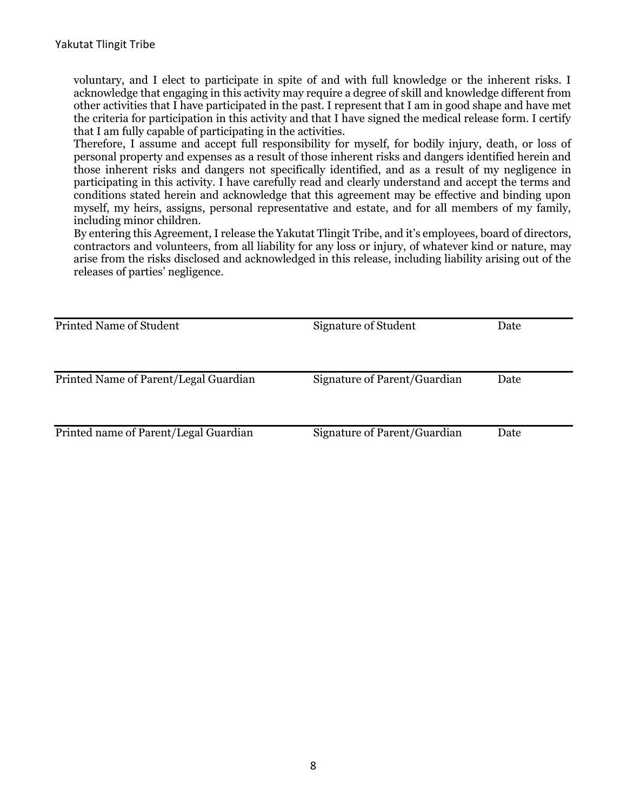voluntary, and I elect to participate in spite of and with full knowledge or the inherent risks. I acknowledge that engaging in this activity may require a degree of skill and knowledge different from other activities that I have participated in the past. I represent that I am in good shape and have met the criteria for participation in this activity and that I have signed the medical release form. I certify that I am fully capable of participating in the activities.

Therefore, I assume and accept full responsibility for myself, for bodily injury, death, or loss of personal property and expenses as a result of those inherent risks and dangers identified herein and those inherent risks and dangers not specifically identified, and as a result of my negligence in participating in this activity. I have carefully read and clearly understand and accept the terms and conditions stated herein and acknowledge that this agreement may be effective and binding upon myself, my heirs, assigns, personal representative and estate, and for all members of my family, including minor children.

By entering this Agreement, I release the Yakutat Tlingit Tribe, and it's employees, board of directors, contractors and volunteers, from all liability for any loss or injury, of whatever kind or nature, may arise from the risks disclosed and acknowledged in this release, including liability arising out of the releases of parties' negligence.

| <b>Printed Name of Student</b>        | <b>Signature of Student</b>  | Date |
|---------------------------------------|------------------------------|------|
|                                       |                              |      |
|                                       |                              |      |
| Printed Name of Parent/Legal Guardian | Signature of Parent/Guardian | Date |
| Printed name of Parent/Legal Guardian | Signature of Parent/Guardian | Date |
|                                       |                              |      |